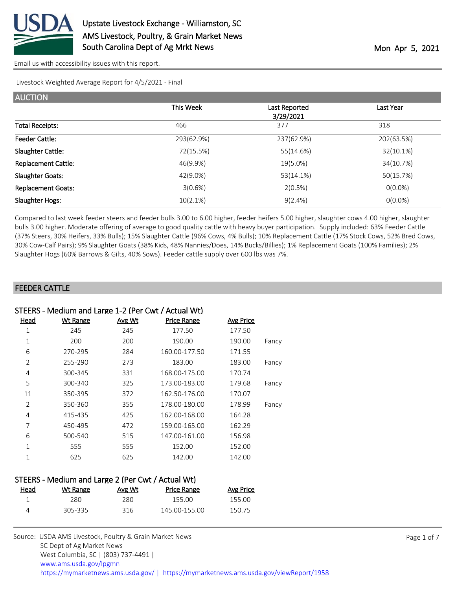

Livestock Weighted Average Report for 4/5/2021 - Final

| <b>AUCTION</b>             |             |                            |            |
|----------------------------|-------------|----------------------------|------------|
|                            | This Week   | Last Reported<br>3/29/2021 | Last Year  |
| <b>Total Receipts:</b>     | 466         | 377                        | 318        |
| <b>Feeder Cattle:</b>      | 293(62.9%)  | 237(62.9%)                 | 202(63.5%) |
| Slaughter Cattle:          | 72(15.5%)   | 55(14.6%)                  | 32(10.1%)  |
| <b>Replacement Cattle:</b> | 46(9.9%)    | 19(5.0%)                   | 34(10.7%)  |
| <b>Slaughter Goats:</b>    | 42(9.0%)    | 53(14.1%)                  | 50(15.7%)  |
| <b>Replacement Goats:</b>  | 3(0.6%)     | 2(0.5%)                    | $O(0.0\%)$ |
| Slaughter Hogs:            | $10(2.1\%)$ | $9(2.4\%)$                 | $O(0.0\%)$ |

Compared to last week feeder steers and feeder bulls 3.00 to 6.00 higher, feeder heifers 5.00 higher, slaughter cows 4.00 higher, slaughter bulls 3.00 higher. Moderate offering of average to good quality cattle with heavy buyer participation. Supply included: 63% Feeder Cattle (37% Steers, 30% Heifers, 33% Bulls); 15% Slaughter Cattle (96% Cows, 4% Bulls); 10% Replacement Cattle (17% Stock Cows, 52% Bred Cows, 30% Cow-Calf Pairs); 9% Slaughter Goats (38% Kids, 48% Nannies/Does, 14% Bucks/Billies); 1% Replacement Goats (100% Families); 2% Slaughter Hogs (60% Barrows & Gilts, 40% Sows). Feeder cattle supply over 600 lbs was 7%.

#### FEEDER CATTLE

|                | STEERS - Medium and Large 1-2 (Per Cwt / Actual Wt) |        |                    |                  |       |  |  |  |  |
|----------------|-----------------------------------------------------|--------|--------------------|------------------|-------|--|--|--|--|
| <u>Head</u>    | <b>Wt Range</b>                                     | Avg Wt | <b>Price Range</b> | <b>Avg Price</b> |       |  |  |  |  |
| 1              | 245                                                 | 245    | 177.50             | 177.50           |       |  |  |  |  |
| 1              | 200                                                 | 200    | 190.00             | 190.00           | Fancy |  |  |  |  |
| 6              | 270-295                                             | 284    | 160.00-177.50      | 171.55           |       |  |  |  |  |
| 2              | 255-290                                             | 273    | 183.00             | 183.00           | Fancy |  |  |  |  |
| 4              | 300-345                                             | 331    | 168.00-175.00      | 170.74           |       |  |  |  |  |
| 5              | 300-340                                             | 325    | 173.00-183.00      | 179.68           | Fancy |  |  |  |  |
| 11             | 350-395                                             | 372    | 162.50-176.00      | 170.07           |       |  |  |  |  |
| $\overline{2}$ | 350-360                                             | 355    | 178.00-180.00      | 178.99           | Fancy |  |  |  |  |
| 4              | 415-435                                             | 425    | 162.00-168.00      | 164.28           |       |  |  |  |  |
| 7              | 450-495                                             | 472    | 159.00-165.00      | 162.29           |       |  |  |  |  |
| 6              | 500-540                                             | 515    | 147.00-161.00      | 156.98           |       |  |  |  |  |
| 1              | 555                                                 | 555    | 152.00             | 152.00           |       |  |  |  |  |
| 1              | 625                                                 | 625    | 142.00             | 142.00           |       |  |  |  |  |
|                |                                                     |        |                    |                  |       |  |  |  |  |

# STEERS - Medium and Large 2 (Per Cwt / Actual Wt)

| Head | Wt Range | Avg Wt | <b>Price Range</b> | Avg Price |
|------|----------|--------|--------------------|-----------|
|      | 280.     | 280    | 155.OO             | 155.OO    |
|      | 305-335  | 316    | 145.00-155.00      | 150.75    |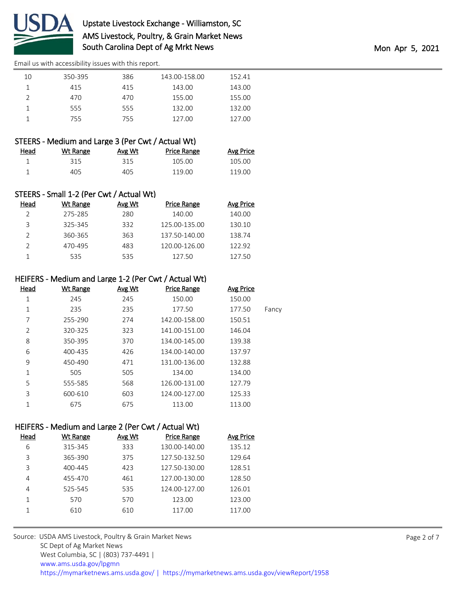

| 10 | 350-395 | 386 | 143.00-158.00 | 152.41 |
|----|---------|-----|---------------|--------|
|    | 415     | 415 | 143.00        | 143.00 |
|    | 470     | 470 | 155.00        | 155.00 |
|    | 555     | 555 | 132.00        | 132.00 |
|    | 755.    | 755 | 127.00        | 127.00 |
|    |         |     |               |        |

#### STEERS - Medium and Large 3 (Per Cwt / Actual Wt)

| Head | Wt Range | Avg Wt | <b>Price Range</b> | <b>Avg Price</b> |
|------|----------|--------|--------------------|------------------|
|      | 315      | 315    | 105.00             | 105.00           |
|      | 405      | 405    | 119.00             | 119.00           |

# STEERS - Small 1-2 (Per Cwt / Actual Wt)

| Head | Wt Range | Avg Wt | Price Range   | <b>Avg Price</b> |
|------|----------|--------|---------------|------------------|
|      | 275-285  | 280    | 140.00        | 140.00           |
| 3    | 325-345  | 332    | 125.00-135.00 | 130.10           |
|      | 360-365  | 363    | 137.50-140.00 | 138.74           |
|      | 470-495  | 483    | 120.00-126.00 | 122.92           |
|      | 535      | 535    | 127.50        | 127.50           |

### HEIFERS - Medium and Large 1-2 (Per Cwt / Actual Wt)

| Head           | Wt Range | Avg Wt | <b>Price Range</b> | Avg Price |       |
|----------------|----------|--------|--------------------|-----------|-------|
| 1              | 245      | 245    | 150.00             | 150.00    |       |
| 1              | 235      | 235    | 177.50             | 177.50    | Fancy |
| 7              | 255-290  | 274    | 142.00-158.00      | 150.51    |       |
| $\overline{2}$ | 320-325  | 323    | 141.00-151.00      | 146.04    |       |
| 8              | 350-395  | 370    | 134.00-145.00      | 139.38    |       |
| 6              | 400-435  | 426    | 134.00-140.00      | 137.97    |       |
| 9              | 450-490  | 471    | 131.00-136.00      | 132.88    |       |
| 1              | 505      | 505    | 134.00             | 134.00    |       |
| 5              | 555-585  | 568    | 126.00-131.00      | 127.79    |       |
| 3              | 600-610  | 603    | 124.00-127.00      | 125.33    |       |
| 1              | 675      | 675    | 113.00             | 113.00    |       |

# HEIFERS - Medium and Large 2 (Per Cwt / Actual Wt)

| Head | <b>Wt Range</b> | Avg Wt | <b>Price Range</b> | <b>Avg Price</b> |
|------|-----------------|--------|--------------------|------------------|
| 6    | 315-345         | 333    | 130.00-140.00      | 135.12           |
| 3    | 365-390         | 375    | 127.50-132.50      | 129.64           |
| 3    | 400-445         | 423    | 127.50-130.00      | 128.51           |
| 4    | 455-470         | 461    | 127.00-130.00      | 128.50           |
| 4    | 525-545         | 535    | 124.00-127.00      | 126.01           |
|      | 570             | 570    | 123.00             | 123.00           |
|      | 610             | 610    | 117.00             | 117.00           |
|      |                 |        |                    |                  |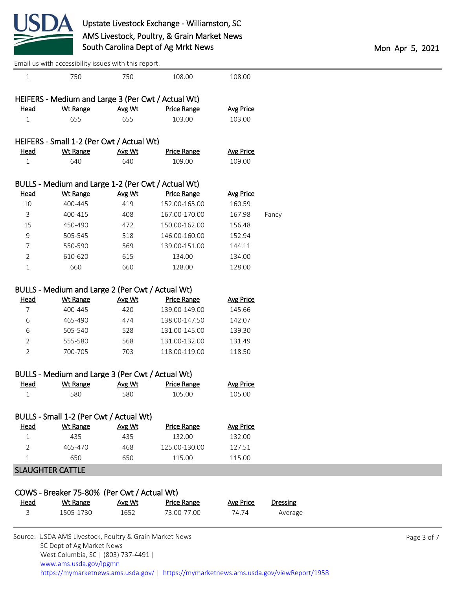

| Email us with accessibility issues with this report. |  |
|------------------------------------------------------|--|
|------------------------------------------------------|--|

| $\mathbf{1}$   | 750                                                     | 750           | 108.00             | 108.00           |                 |             |
|----------------|---------------------------------------------------------|---------------|--------------------|------------------|-----------------|-------------|
|                | HEIFERS - Medium and Large 3 (Per Cwt / Actual Wt)      |               |                    |                  |                 |             |
| <u>Head</u>    | <b>Wt Range</b>                                         | <b>Avg Wt</b> | <b>Price Range</b> | <b>Avg Price</b> |                 |             |
| $\mathbf{1}$   | 655                                                     | 655           | 103.00             | 103.00           |                 |             |
|                |                                                         |               |                    |                  |                 |             |
|                | HEIFERS - Small 1-2 (Per Cwt / Actual Wt)               |               |                    |                  |                 |             |
| <b>Head</b>    | <b>Wt Range</b>                                         | Avg Wt        | <b>Price Range</b> | <b>Avg Price</b> |                 |             |
| $\mathbf{1}$   | 640                                                     | 640           | 109.00             | 109.00           |                 |             |
|                | BULLS - Medium and Large 1-2 (Per Cwt / Actual Wt)      |               |                    |                  |                 |             |
| <b>Head</b>    | <b>Wt Range</b>                                         | Avg Wt        | <b>Price Range</b> | <b>Avg Price</b> |                 |             |
| 10             | 400-445                                                 | 419           | 152.00-165.00      | 160.59           |                 |             |
| 3              | 400-415                                                 | 408           | 167.00-170.00      | 167.98           | Fancy           |             |
| 15             | 450-490                                                 | 472           | 150.00-162.00      | 156.48           |                 |             |
| 9              | 505-545                                                 | 518           | 146.00-160.00      | 152.94           |                 |             |
| 7              | 550-590                                                 | 569           | 139.00-151.00      | 144.11           |                 |             |
| $\overline{2}$ | 610-620                                                 | 615           | 134.00             | 134.00           |                 |             |
| $1\,$          | 660                                                     | 660           | 128.00             | 128.00           |                 |             |
|                |                                                         |               |                    |                  |                 |             |
|                | BULLS - Medium and Large 2 (Per Cwt / Actual Wt)        |               |                    |                  |                 |             |
| <b>Head</b>    | <b>Wt Range</b>                                         | Avg Wt        | <b>Price Range</b> | <b>Avg Price</b> |                 |             |
| 7              | 400-445                                                 | 420           | 139.00-149.00      | 145.66           |                 |             |
| 6              | 465-490                                                 | 474           | 138.00-147.50      | 142.07           |                 |             |
| 6              | 505-540                                                 | 528           | 131.00-145.00      | 139.30           |                 |             |
| 2              | 555-580                                                 | 568           | 131.00-132.00      | 131.49           |                 |             |
| $\overline{2}$ | 700-705                                                 | 703           | 118.00-119.00      | 118.50           |                 |             |
|                |                                                         |               |                    |                  |                 |             |
|                | BULLS - Medium and Large 3 (Per Cwt / Actual Wt)        |               |                    |                  |                 |             |
| <b>Head</b>    | <b>Wt Range</b>                                         | Avg Wt        | <b>Price Range</b> | <b>Avg Price</b> |                 |             |
| $\mathbf{1}$   | 580                                                     | 580           | 105.00             | 105.00           |                 |             |
|                |                                                         |               |                    |                  |                 |             |
|                | BULLS - Small 1-2 (Per Cwt / Actual Wt)                 |               |                    |                  |                 |             |
| <u>Head</u>    | <b>Wt Range</b>                                         | Avg Wt        | <b>Price Range</b> | <b>Avg Price</b> |                 |             |
| $\mathbf{1}$   | 435                                                     | 435           | 132.00             | 132.00           |                 |             |
| 2              | 465-470                                                 | 468           | 125.00-130.00      | 127.51           |                 |             |
| $\mathbf 1$    | 650                                                     | 650           | 115.00             | 115.00           |                 |             |
|                | <b>SLAUGHTER CATTLE</b>                                 |               |                    |                  |                 |             |
|                |                                                         |               |                    |                  |                 |             |
|                | COWS - Breaker 75-80% (Per Cwt / Actual Wt)             |               |                    |                  |                 |             |
| <u>Head</u>    | <b>Wt Range</b>                                         | Avg Wt        | <b>Price Range</b> | <b>Avg Price</b> | <b>Dressing</b> |             |
| 3              | 1505-1730                                               | 1652          | 73.00-77.00        | 74.74            | Average         |             |
|                |                                                         |               |                    |                  |                 |             |
|                | Source: USDA AMS Livestock, Poultry & Grain Market News |               |                    |                  |                 | Page 3 of 7 |
|                | SC Dept of Ag Market News                               |               |                    |                  |                 |             |

 West Columbia, SC | (803) 737-4491 | [www.ams.usda.gov/lpgmn](https://www.ams.usda.gov/market-news) <https://mymarketnews.ams.usda.gov/> [|](https://www.ams.usda.gov/market-news) <https://mymarketnews.ams.usda.gov/viewReport/1958>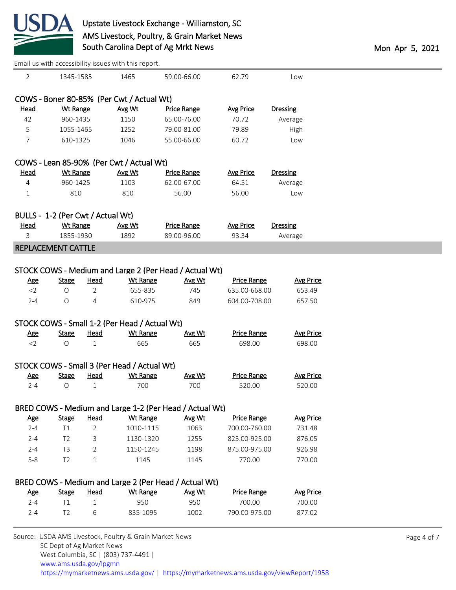

|                |                                   |                | Email us with accessibility issues with this report. |                                                         |                    |                  |
|----------------|-----------------------------------|----------------|------------------------------------------------------|---------------------------------------------------------|--------------------|------------------|
| $\overline{2}$ | 1345-1585                         |                | 1465                                                 | 59.00-66.00                                             | 62.79              | Low              |
|                |                                   |                | COWS - Boner 80-85% (Per Cwt / Actual Wt)            |                                                         |                    |                  |
| <b>Head</b>    | <b>Wt Range</b>                   |                | Avg Wt                                               | <b>Price Range</b>                                      | <b>Avg Price</b>   | <b>Dressing</b>  |
| 42             | 960-1435                          |                | 1150                                                 | 65.00-76.00                                             | 70.72              | Average          |
| 5              | 1055-1465                         |                | 1252                                                 | 79.00-81.00                                             | 79.89              | High             |
| $\overline{7}$ | 610-1325                          |                | 1046                                                 | 55.00-66.00                                             | 60.72              | Low              |
|                |                                   |                | COWS - Lean 85-90% (Per Cwt / Actual Wt)             |                                                         |                    |                  |
| <b>Head</b>    | <b>Wt Range</b>                   |                | Avg Wt                                               | <b>Price Range</b>                                      | <b>Avg Price</b>   | <b>Dressing</b>  |
| 4              | 960-1425                          |                | 1103                                                 | 62.00-67.00                                             | 64.51              | Average          |
| $\mathbf{1}$   | 810                               |                | 810                                                  | 56.00                                                   | 56.00              | Low              |
|                | BULLS - 1-2 (Per Cwt / Actual Wt) |                |                                                      |                                                         |                    |                  |
| <b>Head</b>    | <b>Wt Range</b>                   |                | Avg Wt                                               | <b>Price Range</b>                                      | <b>Avg Price</b>   | <b>Dressing</b>  |
| 3              | 1855-1930                         |                | 1892                                                 | 89.00-96.00                                             | 93.34              | Average          |
|                |                                   |                |                                                      |                                                         |                    |                  |
|                | REPLACEMENT CATTLE                |                |                                                      |                                                         |                    |                  |
|                |                                   |                |                                                      | STOCK COWS - Medium and Large 2 (Per Head / Actual Wt)  |                    |                  |
| <b>Age</b>     | <b>Stage</b>                      | <u>Head</u>    | <b>Wt Range</b>                                      | Avg Wt                                                  | <b>Price Range</b> | <b>Avg Price</b> |
| $<$ 2          | $\bigcirc$                        | $\overline{2}$ | 655-835                                              | 745                                                     | 635.00-668.00      | 653.49           |
| $2 - 4$        | O                                 | 4              | 610-975                                              | 849                                                     | 604.00-708.00      | 657.50           |
|                |                                   |                |                                                      |                                                         |                    |                  |
|                |                                   |                | STOCK COWS - Small 1-2 (Per Head / Actual Wt)        |                                                         |                    |                  |
| <b>Age</b>     | <b>Stage</b>                      | <u>Head</u>    | <b>Wt Range</b>                                      | Avg Wt                                                  | <b>Price Range</b> | <b>Avg Price</b> |
| $<$ 2          | $\bigcirc$                        | $\mathbf{1}$   | 665                                                  | 665                                                     | 698.00             | 698.00           |
|                |                                   |                | STOCK COWS - Small 3 (Per Head / Actual Wt)          |                                                         |                    |                  |
| <b>Age</b>     | <b>Stage</b>                      | <b>Head</b>    | <b>Wt Range</b>                                      | Avg Wt                                                  | <b>Price Range</b> | <b>Avg Price</b> |
| $2 - 4$        | O                                 | 1              | 700                                                  | 700                                                     | 520.00             | 520.00           |
|                |                                   |                |                                                      | BRED COWS - Medium and Large 1-2 (Per Head / Actual Wt) |                    |                  |
| <b>Age</b>     | <b>Stage</b>                      | <b>Head</b>    | <b>Wt Range</b>                                      | Avg Wt                                                  | <b>Price Range</b> | <b>Avg Price</b> |
| $2 - 4$        | T1                                | $\overline{2}$ | 1010-1115                                            | 1063                                                    | 700.00-760.00      | 731.48           |
|                |                                   |                |                                                      |                                                         |                    |                  |
| $2 - 4$        | T <sub>2</sub>                    | 3              | 1130-1320                                            | 1255                                                    | 825.00-925.00      | 876.05           |
| $2 - 4$        | T <sub>3</sub>                    | 2              | 1150-1245                                            | 1198                                                    | 875.00-975.00      | 926.98           |
| $5 - 8$        | T <sub>2</sub>                    | $\mathbf 1$    | 1145                                                 | 1145                                                    | 770.00             | 770.00           |
|                |                                   |                |                                                      | BRED COWS - Medium and Large 2 (Per Head / Actual Wt)   |                    |                  |
| <b>Age</b>     | <b>Stage</b>                      | <b>Head</b>    | Wt Range                                             | Avg Wt                                                  | <b>Price Range</b> | <b>Avg Price</b> |
| $2 - 4$        | T1                                | 1              | 950                                                  | 950                                                     | 700.00             | 700.00           |
| $2 - 4$        | T <sub>2</sub>                    | 6              | 835-1095                                             | 1002                                                    | 790.00-975.00      | 877.02           |
|                |                                   |                |                                                      |                                                         |                    |                  |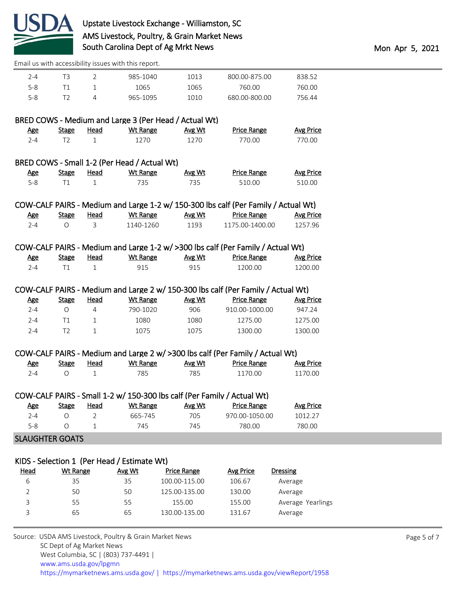

| 7-4 |  | 985-1040 | 1013 | 800.00-875.00 | 838.52 |
|-----|--|----------|------|---------------|--------|
| 5-8 |  | 1065     | 1065 | 760.00        | 760.00 |
| 5-8 |  | 965-1095 | 1010 | 680.00-800.00 | 756.44 |

|         |              |      | BRED COWS - Medium and Large 3 (Per Head / Actual Wt) |        |                    |           |
|---------|--------------|------|-------------------------------------------------------|--------|--------------------|-----------|
| Age     | <b>Stage</b> | Head | Wt Range                                              | Avg Wt | <b>Price Range</b> | Avg Price |
| $2 - 4$ | エフ           |      | 1270                                                  | 1270   | 770.00             | 770.00    |
|         |              |      | BRED COWS - Small 1-2 (Per Head / Actual Wt)          |        |                    |           |

| Age     | Stage | <u>Head</u> | <b>Wt Range</b> | Avg Wt | <b>Price Range</b> | <u>Avg Price</u> |
|---------|-------|-------------|-----------------|--------|--------------------|------------------|
| $5 - 8$ |       |             | 735.            |        | 510.00             | 510.00           |

|     |              |      |           |        | COW-CALF PAIRS - Medium and Large 1-2 w/ 150-300 lbs calf (Per Family / Actual Wt) |                  |
|-----|--------------|------|-----------|--------|------------------------------------------------------------------------------------|------------------|
| Age | <b>Stage</b> | Head | Wt Range  | Avg Wt | <b>Price Range</b>                                                                 | <b>Avg Price</b> |
| 7−4 |              |      | 1140-1260 | 1193   | 1175.00-1400.00                                                                    | 1257.96          |

### COW-CALF PAIRS - Medium and Large 1-2 w/ >300 lbs calf (Per Family / Actual Wt)

| <b>Age</b> | Stage | Head | Wt Range | Avg Wt | <b>Price Range</b> | <b>Avg Price</b> |
|------------|-------|------|----------|--------|--------------------|------------------|
| $2 - 4$    |       |      | 915      | 915    | 1200.00            | 1200.00          |

### COW-CALF PAIRS - Medium and Large 2 w/ 150-300 lbs calf (Per Family / Actual Wt)

| <u>Age</u> | Stage | Head | Wt Range | Avg Wt | Price Range    | Avg Price |
|------------|-------|------|----------|--------|----------------|-----------|
| $2 - 4$    |       |      | 790-1020 | 906    | 910.00-1000.00 | 947.24    |
| 2-4        |       |      | 1080     | 1080   | 1275.00        | 1275.00   |
| $2 - 4$    |       |      | 1075     | 1075   | 1300.00        | 1300.00   |

### COW-CALF PAIRS - Medium and Large 2 w/ >300 lbs calf (Per Family / Actual Wt)

| <u>Age</u> | Stage | Head | Wt Range | Avg Wt | <b>Price Range</b> | Avg Price |
|------------|-------|------|----------|--------|--------------------|-----------|
| ⊿-י        |       |      |          | 785    | 1170.00            | 1170.00   |

|         |       |      | COW-CALF PAIRS - Small 1-2 w/ 150-300 lbs calf (Per Family / Actual Wt) |        |                    |                  |
|---------|-------|------|-------------------------------------------------------------------------|--------|--------------------|------------------|
| Age     | Stage | Head | Wt Range                                                                | Avg Wt | <b>Price Range</b> | <b>Avg Price</b> |
| $2 - 4$ |       |      | 665-745                                                                 | 705    | 970.00-1050.00     | 1012 27          |
| $5 - 8$ |       |      | 745                                                                     | 745    | 780.00             | 780.00           |

#### SLAUGHTER GOATS

#### KIDS - Selection 1 (Per Head / Estimate Wt)

| <u>Head</u> | Wt Range | Avg Wt | Price Range   | <b>Avg Price</b> | <b>Dressing</b>   |
|-------------|----------|--------|---------------|------------------|-------------------|
| 6           | 35       | 35     | 100.00-115.00 | 106.67           | Average           |
|             | 50       | 50     | 125.00-135.00 | 130.00           | Average           |
|             | 55       | 55     | 155.00        | 155.00           | Average Yearlings |
|             | 65       | 65     | 130.00-135.00 | 131.67           | Average           |
|             |          |        |               |                  |                   |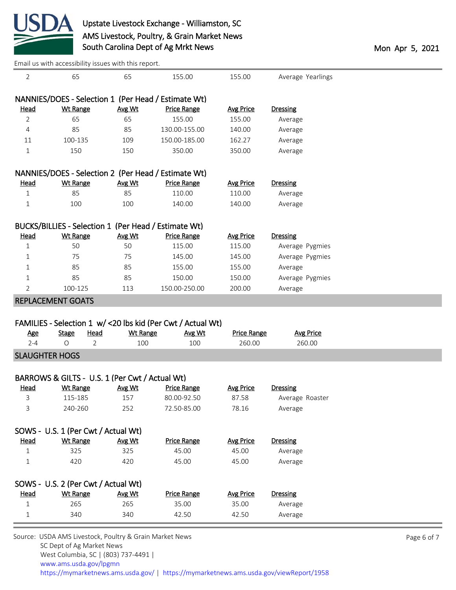

| 2                |                                                      |                 |                                                              |                           |                    |  |
|------------------|------------------------------------------------------|-----------------|--------------------------------------------------------------|---------------------------|--------------------|--|
|                  | 65                                                   | 65              | 155.00                                                       | 155.00                    | Average Yearlings  |  |
|                  | NANNIES/DOES - Selection 1 (Per Head / Estimate Wt)  |                 |                                                              |                           |                    |  |
| <b>Head</b>      | <b>Wt Range</b>                                      | Avg Wt          | <b>Price Range</b>                                           | <b>Avg Price</b>          | <b>Dressing</b>    |  |
| 2                | 65                                                   | 65              | 155.00                                                       | 155.00                    | Average            |  |
| 4                | 85                                                   | 85              | 130.00-155.00                                                | 140.00                    | Average            |  |
| 11               | 100-135                                              | 109             | 150.00-185.00                                                | 162.27                    | Average            |  |
| 1                | 150                                                  | 150             | 350.00                                                       | 350.00                    | Average            |  |
|                  | NANNIES/DOES - Selection 2 (Per Head / Estimate Wt)  |                 |                                                              |                           |                    |  |
| <u>Head</u>      | <b>Wt Range</b>                                      | Avg Wt          | <b>Price Range</b>                                           | <b>Avg Price</b>          | <b>Dressing</b>    |  |
| 1                | 85                                                   | 85              | 110.00                                                       | 110.00                    | Average            |  |
| 1                | 100                                                  | 100             | 140.00                                                       | 140.00                    | Average            |  |
|                  |                                                      |                 |                                                              |                           |                    |  |
|                  | BUCKS/BILLIES - Selection 1 (Per Head / Estimate Wt) |                 |                                                              |                           |                    |  |
| <b>Head</b>      | <b>Wt Range</b>                                      | Avg Wt          | <b>Price Range</b>                                           | <b>Avg Price</b>          | <b>Dressing</b>    |  |
| 1                | 50                                                   | 50              | 115.00                                                       | 115.00                    | Average Pygmies    |  |
| 1                | 75                                                   | 75              | 145.00                                                       | 145.00                    | Average Pygmies    |  |
| 1                | 85                                                   | 85              | 155.00                                                       | 155.00                    | Average            |  |
| 1                | 85                                                   | 85              | 150.00                                                       | 150.00                    | Average Pygmies    |  |
| 2                | 100-125                                              | 113             | 150.00-250.00                                                | 200.00                    | Average            |  |
|                  | <b>REPLACEMENT GOATS</b>                             |                 |                                                              |                           |                    |  |
|                  |                                                      |                 |                                                              |                           |                    |  |
|                  |                                                      |                 |                                                              |                           |                    |  |
|                  |                                                      |                 | FAMILIES - Selection 1 w/ < 20 lbs kid (Per Cwt / Actual Wt) |                           |                    |  |
| <b>Age</b>       | <b>Stage</b><br><b>Head</b>                          | <b>Wt Range</b> | Avg Wt                                                       | <b>Price Range</b>        | <b>Avg Price</b>   |  |
| $2 - 4$          | $\circ$<br>2                                         | 100             | 100                                                          | 260.00                    | 260.00             |  |
|                  | <b>SLAUGHTER HOGS</b>                                |                 |                                                              |                           |                    |  |
|                  | BARROWS & GILTS - U.S. 1 (Per Cwt / Actual Wt)       |                 |                                                              |                           |                    |  |
| <b>Head</b>      | <b>Wt Range</b>                                      | Avg Wt          | <b>Price Range</b>                                           | <b>Avg Price</b>          | <b>Dressing</b>    |  |
| 3                | 115-185                                              | 157             | 80.00-92.50                                                  | 87.58                     | Average Roaster    |  |
| 3                | 240-260                                              | 252             | 72.50-85.00                                                  | 78.16                     | Average            |  |
|                  |                                                      |                 |                                                              |                           |                    |  |
|                  |                                                      |                 |                                                              |                           |                    |  |
| <b>Head</b>      | SOWS - U.S. 1 (Per Cwt / Actual Wt)                  |                 |                                                              |                           | <b>Dressing</b>    |  |
| $\mathbf 1$      | <b>Wt Range</b><br>325                               | Avg Wt<br>325   | <b>Price Range</b><br>45.00                                  | <b>Avg Price</b><br>45.00 | Average            |  |
| 1                | 420                                                  | 420             | 45.00                                                        | 45.00                     | Average            |  |
|                  |                                                      |                 |                                                              |                           |                    |  |
|                  | SOWS - U.S. 2 (Per Cwt / Actual Wt)                  |                 |                                                              |                           |                    |  |
| <b>Head</b>      | <b>Wt Range</b>                                      | Avg Wt          | <b>Price Range</b>                                           | <b>Avg Price</b>          | <b>Dressing</b>    |  |
| 1<br>$\mathbf 1$ | 265<br>340                                           | 265<br>340      | 35.00<br>42.50                                               | 35.00<br>42.50            | Average<br>Average |  |